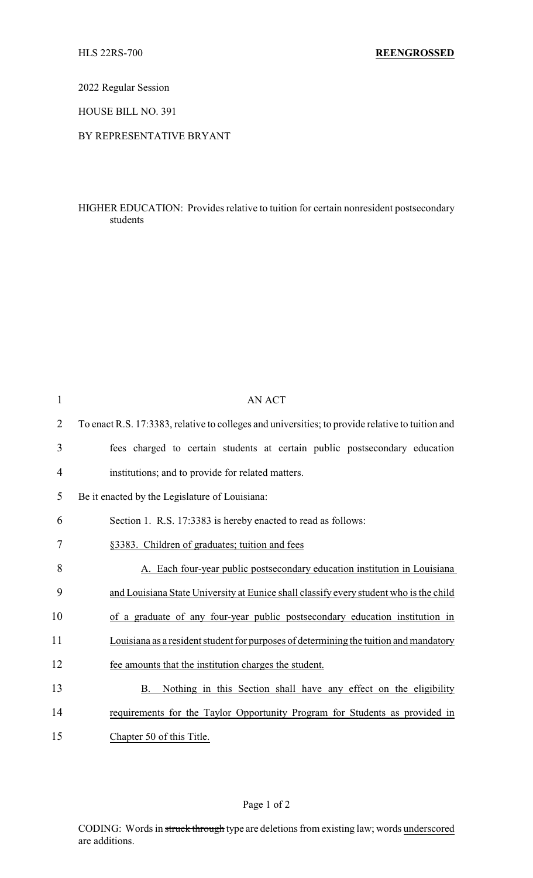2022 Regular Session

HOUSE BILL NO. 391

## BY REPRESENTATIVE BRYANT

## HIGHER EDUCATION: Provides relative to tuition for certain nonresident postsecondary students

| $\mathbf{1}$   | <b>AN ACT</b>                                                                                    |
|----------------|--------------------------------------------------------------------------------------------------|
| $\overline{2}$ | To enact R.S. 17:3383, relative to colleges and universities; to provide relative to tuition and |
| 3              | fees charged to certain students at certain public postsecondary education                       |
| 4              | institutions; and to provide for related matters.                                                |
| 5              | Be it enacted by the Legislature of Louisiana:                                                   |
| 6              | Section 1. R.S. 17:3383 is hereby enacted to read as follows:                                    |
| 7              | §3383. Children of graduates; tuition and fees                                                   |
| 8              | A. Each four-year public postsecondary education institution in Louisiana                        |
| 9              | and Louisiana State University at Eunice shall classify every student who is the child           |
| 10             | of a graduate of any four-year public postsecondary education institution in                     |
| 11             | Louisiana as a resident student for purposes of determining the tuition and mandatory            |
| 12             | fee amounts that the institution charges the student.                                            |
| 13             | Nothing in this Section shall have any effect on the eligibility<br>B.                           |
| 14             | requirements for the Taylor Opportunity Program for Students as provided in                      |
| 15             | Chapter 50 of this Title.                                                                        |